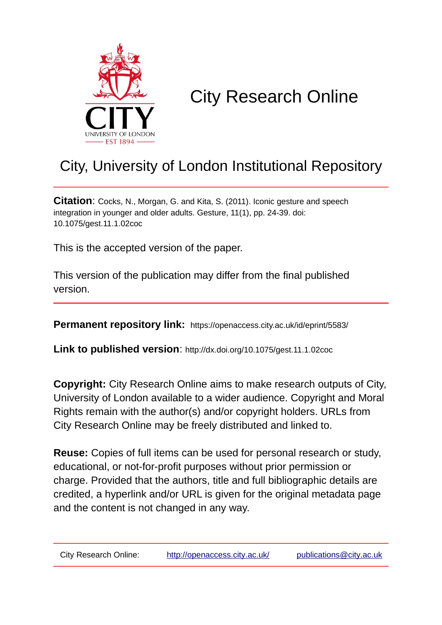

# City Research Online

## City, University of London Institutional Repository

**Citation**: Cocks, N., Morgan, G. and Kita, S. (2011). Iconic gesture and speech integration in younger and older adults. Gesture, 11(1), pp. 24-39. doi: 10.1075/gest.11.1.02coc

This is the accepted version of the paper.

This version of the publication may differ from the final published version.

**Permanent repository link:** https://openaccess.city.ac.uk/id/eprint/5583/

**Link to published version**: http://dx.doi.org/10.1075/gest.11.1.02coc

**Copyright:** City Research Online aims to make research outputs of City, University of London available to a wider audience. Copyright and Moral Rights remain with the author(s) and/or copyright holders. URLs from City Research Online may be freely distributed and linked to.

**Reuse:** Copies of full items can be used for personal research or study, educational, or not-for-profit purposes without prior permission or charge. Provided that the authors, title and full bibliographic details are credited, a hyperlink and/or URL is given for the original metadata page and the content is not changed in any way.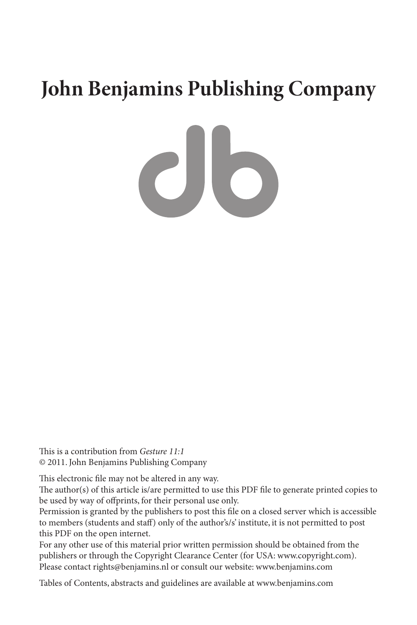## **John Benjamins Publishing Company**

CIO

This is a contribution from *Gesture 11:1* © 2011. John Benjamins Publishing Company

This electronic file may not be altered in any way.

The author(s) of this article is/are permitted to use this PDF file to generate printed copies to be used by way of offprints, for their personal use only.

Permission is granted by the publishers to post this file on a closed server which is accessible to members (students and staff) only of the author's/s' institute, it is not permitted to post this PDF on the open internet.

For any other use of this material prior written permission should be obtained from the publishers or through the Copyright Clearance Center (for USA: www.copyright.com). Please contact rights@benjamins.nl or consult our website: www.benjamins.com

Tables of Contents, abstracts and guidelines are available at www.benjamins.com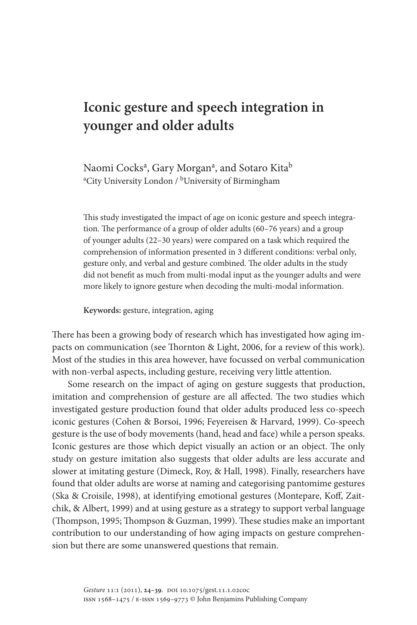### **Iconic gesture and speech integration in younger and older adults**

Naomi Cocksª, Gary Morganª, and Sotaro Kita<sup>b</sup> <sup>a</sup>City University London / <sup>b</sup>University of Birmingham

This study investigated the impact of age on iconic gesture and speech integration. The performance of a group of older adults (60–76 years) and a group of younger adults (22–30 years) were compared on a task which required the comprehension of information presented in 3 different conditions: verbal only, gesture only, and verbal and gesture combined. The older adults in the study did not benefit as much from multi-modal input as the younger adults and were more likely to ignore gesture when decoding the multi-modal information.

**Keywords:** gesture, integration, aging

There has been a growing body of research which has investigated how aging impacts on communication (see Thornton & Light, 2006, for a review of this work). Most of the studies in this area however, have focussed on verbal communication with non-verbal aspects, including gesture, receiving very little attention.

Some research on the impact of aging on gesture suggests that production, imitation and comprehension of gesture are all affected. The two studies which investigated gesture production found that older adults produced less co-speech iconic gestures (Cohen & Borsoi, 1996; Feyereisen & Harvard, 1999). Co-speech gesture is the use of body movements (hand, head and face) while a person speaks. Iconic gestures are those which depict visually an action or an object. The only study on gesture imitation also suggests that older adults are less accurate and slower at imitating gesture (Dimeck, Roy, & Hall, 1998). Finally, researchers have found that older adults are worse at naming and categorising pantomime gestures (Ska & Croisile, 1998), at identifying emotional gestures (Montepare, Koff, Zaitchik, & Albert, 1999) and at using gesture as a strategy to support verbal language (Thompson, 1995; Thompson & Guzman, 1999). These studies make an important contribution to our understanding of how aging impacts on gesture comprehension but there are some unanswered questions that remain.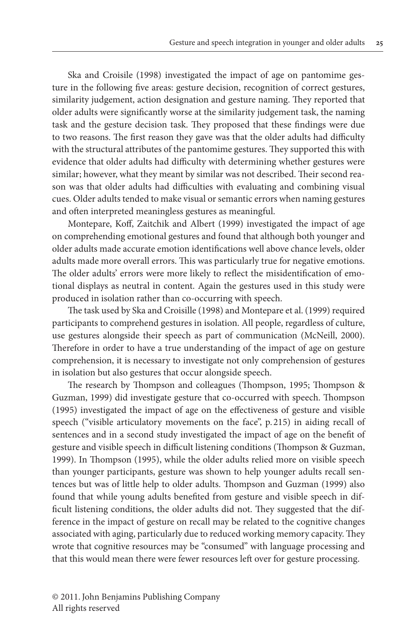Ska and Croisile (1998) investigated the impact of age on pantomime gesture in the following five areas: gesture decision, recognition of correct gestures, similarity judgement, action designation and gesture naming. They reported that older adults were significantly worse at the similarity judgement task, the naming task and the gesture decision task. They proposed that these findings were due to two reasons. The first reason they gave was that the older adults had difficulty with the structural attributes of the pantomime gestures. They supported this with evidence that older adults had difficulty with determining whether gestures were similar; however, what they meant by similar was not described. Their second reason was that older adults had difficulties with evaluating and combining visual cues. Older adults tended to make visual or semantic errors when naming gestures and often interpreted meaningless gestures as meaningful.

Montepare, Koff, Zaitchik and Albert (1999) investigated the impact of age on comprehending emotional gestures and found that although both younger and older adults made accurate emotion identifications well above chance levels, older adults made more overall errors. This was particularly true for negative emotions. The older adults' errors were more likely to reflect the misidentification of emotional displays as neutral in content. Again the gestures used in this study were produced in isolation rather than co-occurring with speech.

The task used by Ska and Croisille (1998) and Montepare et al. (1999) required participants to comprehend gestures in isolation. All people, regardless of culture, use gestures alongside their speech as part of communication (McNeill, 2000). Therefore in order to have a true understanding of the impact of age on gesture comprehension, it is necessary to investigate not only comprehension of gestures in isolation but also gestures that occur alongside speech.

The research by Thompson and colleagues (Thompson, 1995; Thompson & Guzman, 1999) did investigate gesture that co-occurred with speech. Thompson (1995) investigated the impact of age on the effectiveness of gesture and visible speech ("visible articulatory movements on the face", p. 215) in aiding recall of sentences and in a second study investigated the impact of age on the benefit of gesture and visible speech in difficult listening conditions (Thompson & Guzman, 1999). In Thompson (1995), while the older adults relied more on visible speech than younger participants, gesture was shown to help younger adults recall sentences but was of little help to older adults. Thompson and Guzman (1999) also found that while young adults benefited from gesture and visible speech in difficult listening conditions, the older adults did not. They suggested that the difference in the impact of gesture on recall may be related to the cognitive changes associated with aging, particularly due to reduced working memory capacity. They wrote that cognitive resources may be "consumed" with language processing and that this would mean there were fewer resources left over for gesture processing.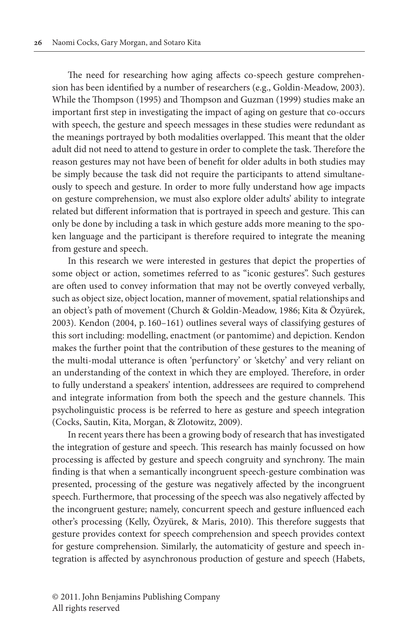The need for researching how aging affects co-speech gesture comprehension has been identified by a number of researchers (e.g., Goldin-Meadow, 2003). While the Thompson (1995) and Thompson and Guzman (1999) studies make an important first step in investigating the impact of aging on gesture that co-occurs with speech, the gesture and speech messages in these studies were redundant as the meanings portrayed by both modalities overlapped. This meant that the older adult did not need to attend to gesture in order to complete the task. Therefore the reason gestures may not have been of benefit for older adults in both studies may be simply because the task did not require the participants to attend simultaneously to speech and gesture. In order to more fully understand how age impacts on gesture comprehension, we must also explore older adults' ability to integrate related but different information that is portrayed in speech and gesture. This can only be done by including a task in which gesture adds more meaning to the spoken language and the participant is therefore required to integrate the meaning from gesture and speech.

In this research we were interested in gestures that depict the properties of some object or action, sometimes referred to as "iconic gestures". Such gestures are often used to convey information that may not be overtly conveyed verbally, such as object size, object location, manner of movement, spatial relationships and an object's path of movement (Church & Goldin-Meadow, 1986; Kita & Özyürek, 2003). Kendon (2004, p. 160–161) outlines several ways of classifying gestures of this sort including: modelling, enactment (or pantomime) and depiction. Kendon makes the further point that the contribution of these gestures to the meaning of the multi-modal utterance is often 'perfunctory' or 'sketchy' and very reliant on an understanding of the context in which they are employed. Therefore, in order to fully understand a speakers' intention, addressees are required to comprehend and integrate information from both the speech and the gesture channels. This psycholinguistic process is be referred to here as gesture and speech integration (Cocks, Sautin, Kita, Morgan, & Zlotowitz, 2009).

In recent years there has been a growing body of research that has investigated the integration of gesture and speech. This research has mainly focussed on how processing is affected by gesture and speech congruity and synchrony. The main finding is that when a semantically incongruent speech-gesture combination was presented, processing of the gesture was negatively affected by the incongruent speech. Furthermore, that processing of the speech was also negatively affected by the incongruent gesture; namely, concurrent speech and gesture influenced each other's processing (Kelly, Özyürek, & Maris, 2010). This therefore suggests that gesture provides context for speech comprehension and speech provides context for gesture comprehension. Similarly, the automaticity of gesture and speech integration is affected by asynchronous production of gesture and speech (Habets,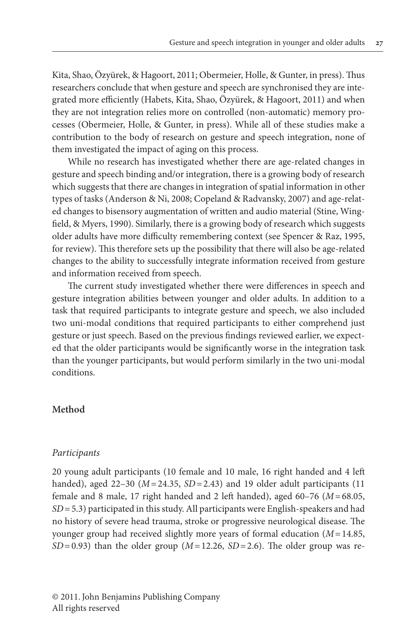Kita, Shao, Özyürek, & Hagoort, 2011; Obermeier, Holle, & Gunter, in press). Thus researchers conclude that when gesture and speech are synchronised they are integrated more efficiently (Habets, Kita, Shao, Özyürek, & Hagoort, 2011) and when they are not integration relies more on controlled (non-automatic) memory processes (Obermeier, Holle, & Gunter, in press). While all of these studies make a contribution to the body of research on gesture and speech integration, none of them investigated the impact of aging on this process.

While no research has investigated whether there are age-related changes in gesture and speech binding and/or integration, there is a growing body of research which suggests that there are changes in integration of spatial information in other types of tasks (Anderson & Ni, 2008; Copeland & Radvansky, 2007) and age-related changes to bisensory augmentation of written and audio material (Stine, Wingfield, & Myers, 1990). Similarly, there is a growing body of research which suggests older adults have more difficulty remembering context (see Spencer & Raz, 1995, for review). This therefore sets up the possibility that there will also be age-related changes to the ability to successfully integrate information received from gesture and information received from speech.

The current study investigated whether there were differences in speech and gesture integration abilities between younger and older adults. In addition to a task that required participants to integrate gesture and speech, we also included two uni-modal conditions that required participants to either comprehend just gesture or just speech. Based on the previous findings reviewed earlier, we expected that the older participants would be significantly worse in the integration task than the younger participants, but would perform similarly in the two uni-modal conditions.

#### **Method**

#### *Participants*

20 young adult participants (10 female and 10 male, 16 right handed and 4 left handed), aged 22–30 (*M*=24.35, *SD*=2.43) and 19 older adult participants (11 female and 8 male, 17 right handed and 2 left handed), aged 60–76 (*M*=68.05, *SD*=5.3) participated in this study. All participants were English-speakers and had no history of severe head trauma, stroke or progressive neurological disease. The younger group had received slightly more years of formal education (*M*=14.85, *SD*=0.93) than the older group (*M*=12.26, *SD*=2.6). The older group was re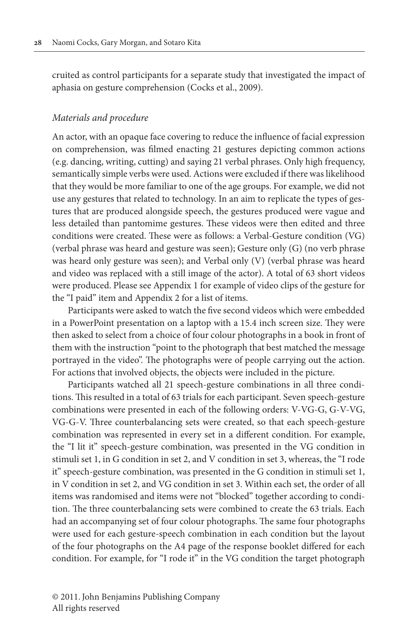cruited as control participants for a separate study that investigated the impact of aphasia on gesture comprehension (Cocks et al., 2009).

#### *Materials and procedure*

An actor, with an opaque face covering to reduce the influence of facial expression on comprehension, was filmed enacting 21 gestures depicting common actions (e.g. dancing, writing, cutting) and saying 21 verbal phrases. Only high frequency, semantically simple verbs were used. Actions were excluded if there was likelihood that they would be more familiar to one of the age groups. For example, we did not use any gestures that related to technology. In an aim to replicate the types of gestures that are produced alongside speech, the gestures produced were vague and less detailed than pantomime gestures. These videos were then edited and three conditions were created. These were as follows: a Verbal-Gesture condition (VG) (verbal phrase was heard and gesture was seen); Gesture only (G) (no verb phrase was heard only gesture was seen); and Verbal only (V) (verbal phrase was heard and video was replaced with a still image of the actor). A total of 63 short videos were produced. Please see Appendix 1 for example of video clips of the gesture for the "I paid" item and Appendix 2 for a list of items.

Participants were asked to watch the five second videos which were embedded in a PowerPoint presentation on a laptop with a 15.4 inch screen size. They were then asked to select from a choice of four colour photographs in a book in front of them with the instruction "point to the photograph that best matched the message portrayed in the video". The photographs were of people carrying out the action. For actions that involved objects, the objects were included in the picture.

Participants watched all 21 speech-gesture combinations in all three conditions. This resulted in a total of 63 trials for each participant. Seven speech-gesture combinations were presented in each of the following orders: V-VG-G, G-V-VG, VG-G-V. Three counterbalancing sets were created, so that each speech-gesture combination was represented in every set in a different condition. For example, the "I lit it" speech-gesture combination, was presented in the VG condition in stimuli set 1, in G condition in set 2, and V condition in set 3, whereas, the "I rode it" speech-gesture combination, was presented in the G condition in stimuli set 1, in V condition in set 2, and VG condition in set 3. Within each set, the order of all items was randomised and items were not "blocked" together according to condition. The three counterbalancing sets were combined to create the 63 trials. Each had an accompanying set of four colour photographs. The same four photographs were used for each gesture-speech combination in each condition but the layout of the four photographs on the A4 page of the response booklet differed for each condition. For example, for "I rode it" in the VG condition the target photograph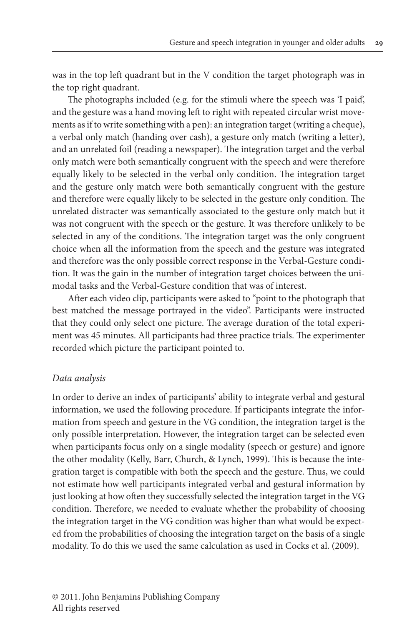was in the top left quadrant but in the V condition the target photograph was in the top right quadrant.

The photographs included (e.g. for the stimuli where the speech was 'I paid', and the gesture was a hand moving left to right with repeated circular wrist movements as if to write something with a pen): an integration target (writing a cheque), a verbal only match (handing over cash), a gesture only match (writing a letter), and an unrelated foil (reading a newspaper). The integration target and the verbal only match were both semantically congruent with the speech and were therefore equally likely to be selected in the verbal only condition. The integration target and the gesture only match were both semantically congruent with the gesture and therefore were equally likely to be selected in the gesture only condition. The unrelated distracter was semantically associated to the gesture only match but it was not congruent with the speech or the gesture. It was therefore unlikely to be selected in any of the conditions. The integration target was the only congruent choice when all the information from the speech and the gesture was integrated and therefore was the only possible correct response in the Verbal-Gesture condition. It was the gain in the number of integration target choices between the unimodal tasks and the Verbal-Gesture condition that was of interest.

After each video clip, participants were asked to "point to the photograph that best matched the message portrayed in the video". Participants were instructed that they could only select one picture. The average duration of the total experiment was 45 minutes. All participants had three practice trials. The experimenter recorded which picture the participant pointed to.

#### *Data analysis*

In order to derive an index of participants' ability to integrate verbal and gestural information, we used the following procedure. If participants integrate the information from speech and gesture in the VG condition, the integration target is the only possible interpretation. However, the integration target can be selected even when participants focus only on a single modality (speech or gesture) and ignore the other modality (Kelly, Barr, Church, & Lynch, 1999). This is because the integration target is compatible with both the speech and the gesture. Thus, we could not estimate how well participants integrated verbal and gestural information by just looking at how often they successfully selected the integration target in the VG condition. Therefore, we needed to evaluate whether the probability of choosing the integration target in the VG condition was higher than what would be expected from the probabilities of choosing the integration target on the basis of a single modality. To do this we used the same calculation as used in Cocks et al. (2009).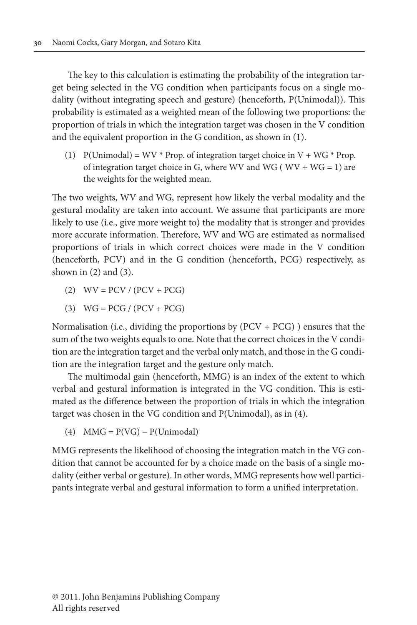The key to this calculation is estimating the probability of the integration target being selected in the VG condition when participants focus on a single modality (without integrating speech and gesture) (henceforth, P(Unimodal)). This probability is estimated as a weighted mean of the following two proportions: the proportion of trials in which the integration target was chosen in the V condition and the equivalent proportion in the G condition, as shown in (1).

(1) P(Unimodal) = WV \* Prop. of integration target choice in V + WG \* Prop. of integration target choice in G, where WV and WG ( $WV + WG = 1$ ) are the weights for the weighted mean.

The two weights, WV and WG, represent how likely the verbal modality and the gestural modality are taken into account. We assume that participants are more likely to use (i.e., give more weight to) the modality that is stronger and provides more accurate information. Therefore, WV and WG are estimated as normalised proportions of trials in which correct choices were made in the V condition (henceforth, PCV) and in the G condition (henceforth, PCG) respectively, as shown in  $(2)$  and  $(3)$ .

- (2)  $WV = PCV / (PCV + PCG)$
- (3)  $WG = PCG / (PCV + PCG)$

Normalisation (i.e., dividing the proportions by  $(PCV + PCG)$ ) ensures that the sum of the two weights equals to one. Note that the correct choices in the V condition are the integration target and the verbal only match, and those in the G condition are the integration target and the gesture only match.

The multimodal gain (henceforth, MMG) is an index of the extent to which verbal and gestural information is integrated in the VG condition. This is estimated as the difference between the proportion of trials in which the integration target was chosen in the VG condition and P(Unimodal), as in (4).

(4) MMG =  $P(VG) - P(Unimodal)$ 

MMG represents the likelihood of choosing the integration match in the VG condition that cannot be accounted for by a choice made on the basis of a single modality (either verbal or gesture). In other words, MMG represents how well participants integrate verbal and gestural information to form a unified interpretation.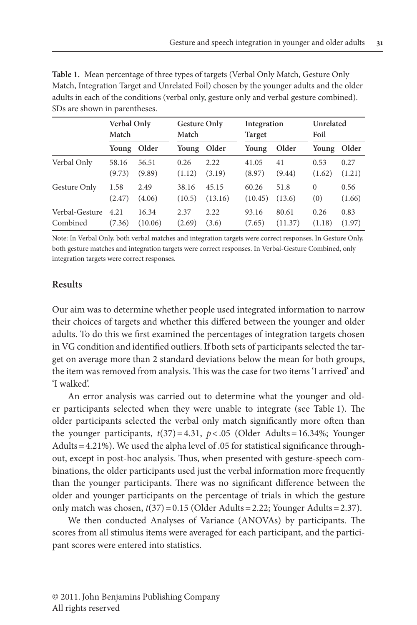|                | Verbal Only<br>Match |         | Match       | <b>Gesture Only</b> |         | Integration<br><b>Target</b> |          | Unrelated<br>Foil |  |
|----------------|----------------------|---------|-------------|---------------------|---------|------------------------------|----------|-------------------|--|
|                | Young Older          |         | Young Older |                     | Young   | Older                        | Young    | Older             |  |
| Verbal Only    | 58.16                | 56.51   | 0.26        | 2.22                | 41.05   | 41                           | 0.53     | 0.27              |  |
|                | (9.73)               | (9.89)  | (1.12)      | (3.19)              | (8.97)  | (9.44)                       | (1.62)   | (1.21)            |  |
| Gesture Only   | 1.58                 | 2.49    | 38.16       | 45.15               | 60.26   | 51.8                         | $\Omega$ | 0.56              |  |
|                | (2.47)               | (4.06)  | (10.5)      | (13.16)             | (10.45) | (13.6)                       | (0)      | (1.66)            |  |
| Verbal-Gesture | 4.21                 | 16.34   | 2.37        | 2.22                | 93.16   | 80.61                        | 0.26     | 0.83              |  |
| Combined       | (7.36)               | (10.06) | (2.69)      | (3.6)               | (7.65)  | (11.37)                      | (1.18)   | (1.97)            |  |

**Table 1.** Mean percentage of three types of targets (Verbal Only Match, Gesture Only Match, Integration Target and Unrelated Foil) chosen by the younger adults and the older adults in each of the conditions (verbal only, gesture only and verbal gesture combined). SDs are shown in parentheses.

Note: In Verbal Only, both verbal matches and integration targets were correct responses. In Gesture Only, both gesture matches and integration targets were correct responses. In Verbal-Gesture Combined, only integration targets were correct responses.

#### **Results**

Our aim was to determine whether people used integrated information to narrow their choices of targets and whether this differed between the younger and older adults. To do this we first examined the percentages of integration targets chosen in VG condition and identified outliers. If both sets of participants selected the target on average more than 2 standard deviations below the mean for both groups, the item was removed from analysis. This was the case for two items 'I arrived' and 'I walked'.

An error analysis was carried out to determine what the younger and older participants selected when they were unable to integrate (see Table 1). The older participants selected the verbal only match significantly more often than the younger participants,  $t(37)=4.31$ ,  $p < .05$  (Older Adults=16.34%; Younger Adults=4.21%). We used the alpha level of .05 for statistical significance throughout, except in post-hoc analysis. Thus, when presented with gesture-speech combinations, the older participants used just the verbal information more frequently than the younger participants. There was no significant difference between the older and younger participants on the percentage of trials in which the gesture only match was chosen, *t*(37)=0.15 (Older Adults=2.22; Younger Adults=2.37).

We then conducted Analyses of Variance (ANOVAs) by participants. The scores from all stimulus items were averaged for each participant, and the participant scores were entered into statistics.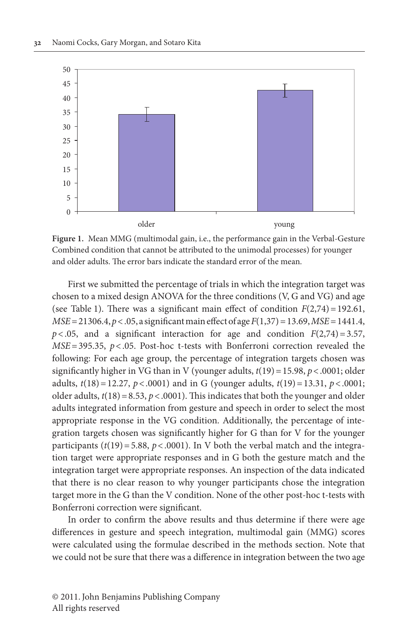

**Figure 1.** Mean MMG (multimodal gain, i.e., the performance gain in the Verbal-Gesture Combined condition that cannot be attributed to the unimodal processes) for younger and older adults. The error bars indicate the standard error of the mean.

First we submitted the percentage of trials in which the integration target was chosen to a mixed design ANOVA for the three conditions (V, G and VG) and age (see Table 1). There was a significant main effect of condition  $F(2,74) = 192.61$ , *MSE*=21306.4, *p*<.05, a significant main effect of age *F*(1,37)=13.69, *MSE*=1441.4,  $p$ <.05, and a significant interaction for age and condition  $F(2,74) = 3.57$ , *MSE*=395.35, *p*<.05. Post-hoc t-tests with Bonferroni correction revealed the following: For each age group, the percentage of integration targets chosen was significantly higher in VG than in V (younger adults,  $t(19) = 15.98$ ,  $p < .0001$ ; older adults,  $t(18) = 12.27$ ,  $p < .0001$ ) and in G (younger adults,  $t(19) = 13.31$ ,  $p < .0001$ ; older adults,  $t(18) = 8.53$ ,  $p < .0001$ ). This indicates that both the younger and older adults integrated information from gesture and speech in order to select the most appropriate response in the VG condition. Additionally, the percentage of integration targets chosen was significantly higher for G than for V for the younger participants  $(t(19)=5.88, p<0.001)$ . In V both the verbal match and the integration target were appropriate responses and in G both the gesture match and the integration target were appropriate responses. An inspection of the data indicated that there is no clear reason to why younger participants chose the integration target more in the G than the V condition. None of the other post-hoc t-tests with Bonferroni correction were significant.

In order to confirm the above results and thus determine if there were age differences in gesture and speech integration, multimodal gain (MMG) scores were calculated using the formulae described in the methods section. Note that we could not be sure that there was a difference in integration between the two age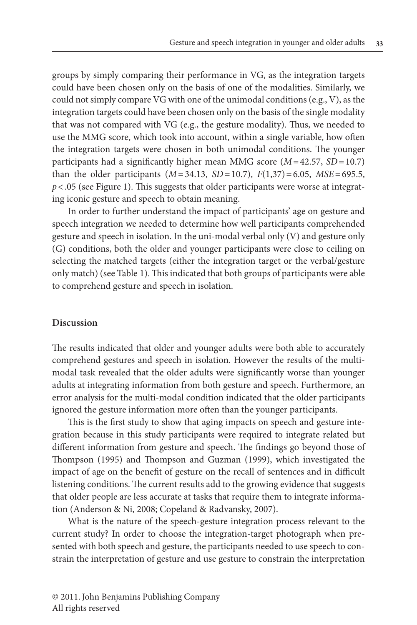groups by simply comparing their performance in VG, as the integration targets could have been chosen only on the basis of one of the modalities. Similarly, we could not simply compare VG with one of the unimodal conditions (e.g., V), as the integration targets could have been chosen only on the basis of the single modality that was not compared with VG (e.g., the gesture modality). Thus, we needed to use the MMG score, which took into account, within a single variable, how often the integration targets were chosen in both unimodal conditions. The younger participants had a significantly higher mean MMG score (*M*=42.57, *SD*=10.7) than the older participants (*M*=34.13, *SD*=10.7), *F*(1,37)=6.05, *MSE*=695.5, *p*<.05 (see Figure 1). This suggests that older participants were worse at integrating iconic gesture and speech to obtain meaning.

In order to further understand the impact of participants' age on gesture and speech integration we needed to determine how well participants comprehended gesture and speech in isolation. In the uni-modal verbal only (V) and gesture only (G) conditions, both the older and younger participants were close to ceiling on selecting the matched targets (either the integration target or the verbal/gesture only match) (see Table 1). This indicated that both groups of participants were able to comprehend gesture and speech in isolation.

#### **Discussion**

The results indicated that older and younger adults were both able to accurately comprehend gestures and speech in isolation. However the results of the multimodal task revealed that the older adults were significantly worse than younger adults at integrating information from both gesture and speech. Furthermore, an error analysis for the multi-modal condition indicated that the older participants ignored the gesture information more often than the younger participants.

This is the first study to show that aging impacts on speech and gesture integration because in this study participants were required to integrate related but different information from gesture and speech. The findings go beyond those of Thompson (1995) and Thompson and Guzman (1999), which investigated the impact of age on the benefit of gesture on the recall of sentences and in difficult listening conditions. The current results add to the growing evidence that suggests that older people are less accurate at tasks that require them to integrate information (Anderson & Ni, 2008; Copeland & Radvansky, 2007).

What is the nature of the speech-gesture integration process relevant to the current study? In order to choose the integration-target photograph when presented with both speech and gesture, the participants needed to use speech to constrain the interpretation of gesture and use gesture to constrain the interpretation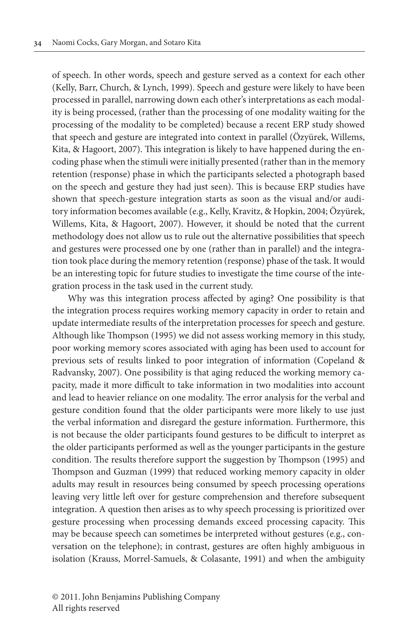of speech. In other words, speech and gesture served as a context for each other (Kelly, Barr, Church, & Lynch, 1999). Speech and gesture were likely to have been processed in parallel, narrowing down each other's interpretations as each modality is being processed, (rather than the processing of one modality waiting for the processing of the modality to be completed) because a recent ERP study showed that speech and gesture are integrated into context in parallel (Özyürek, Willems, Kita, & Hagoort, 2007). This integration is likely to have happened during the encoding phase when the stimuli were initially presented (rather than in the memory retention (response) phase in which the participants selected a photograph based on the speech and gesture they had just seen). This is because ERP studies have shown that speech-gesture integration starts as soon as the visual and/or auditory information becomes available (e.g., Kelly, Kravitz, & Hopkin, 2004; Özyürek, Willems, Kita, & Hagoort, 2007). However, it should be noted that the current methodology does not allow us to rule out the alternative possibilities that speech and gestures were processed one by one (rather than in parallel) and the integration took place during the memory retention (response) phase of the task. It would be an interesting topic for future studies to investigate the time course of the integration process in the task used in the current study.

Why was this integration process affected by aging? One possibility is that the integration process requires working memory capacity in order to retain and update intermediate results of the interpretation processes for speech and gesture. Although like Thompson (1995) we did not assess working memory in this study, poor working memory scores associated with aging has been used to account for previous sets of results linked to poor integration of information (Copeland & Radvansky, 2007). One possibility is that aging reduced the working memory capacity, made it more difficult to take information in two modalities into account and lead to heavier reliance on one modality. The error analysis for the verbal and gesture condition found that the older participants were more likely to use just the verbal information and disregard the gesture information. Furthermore, this is not because the older participants found gestures to be difficult to interpret as the older participants performed as well as the younger participants in the gesture condition. The results therefore support the suggestion by Thompson (1995) and Thompson and Guzman (1999) that reduced working memory capacity in older adults may result in resources being consumed by speech processing operations leaving very little left over for gesture comprehension and therefore subsequent integration. A question then arises as to why speech processing is prioritized over gesture processing when processing demands exceed processing capacity. This may be because speech can sometimes be interpreted without gestures (e.g., conversation on the telephone); in contrast, gestures are often highly ambiguous in isolation (Krauss, Morrel-Samuels, & Colasante, 1991) and when the ambiguity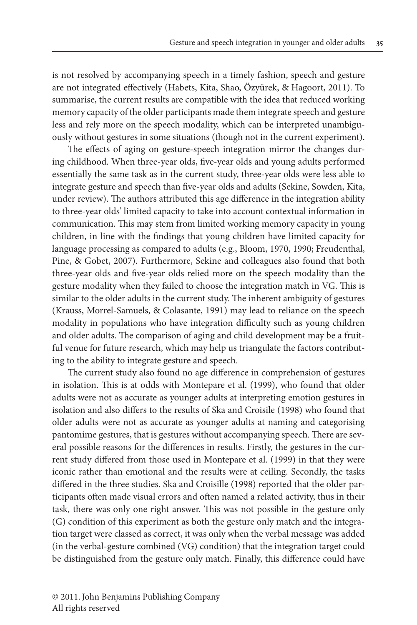is not resolved by accompanying speech in a timely fashion, speech and gesture are not integrated effectively (Habets, Kita, Shao, Özyürek, & Hagoort, 2011). To summarise, the current results are compatible with the idea that reduced working memory capacity of the older participants made them integrate speech and gesture less and rely more on the speech modality, which can be interpreted unambiguously without gestures in some situations (though not in the current experiment).

The effects of aging on gesture-speech integration mirror the changes during childhood. When three-year olds, five-year olds and young adults performed essentially the same task as in the current study, three-year olds were less able to integrate gesture and speech than five-year olds and adults (Sekine, Sowden, Kita, under review). The authors attributed this age difference in the integration ability to three-year olds' limited capacity to take into account contextual information in communication. This may stem from limited working memory capacity in young children, in line with the findings that young children have limited capacity for language processing as compared to adults (e.g., Bloom, 1970, 1990; Freudenthal, Pine, & Gobet, 2007). Furthermore, Sekine and colleagues also found that both three-year olds and five-year olds relied more on the speech modality than the gesture modality when they failed to choose the integration match in VG. This is similar to the older adults in the current study. The inherent ambiguity of gestures (Krauss, Morrel-Samuels, & Colasante, 1991) may lead to reliance on the speech modality in populations who have integration difficulty such as young children and older adults. The comparison of aging and child development may be a fruitful venue for future research, which may help us triangulate the factors contributing to the ability to integrate gesture and speech.

The current study also found no age difference in comprehension of gestures in isolation. This is at odds with Montepare et al. (1999), who found that older adults were not as accurate as younger adults at interpreting emotion gestures in isolation and also differs to the results of Ska and Croisile (1998) who found that older adults were not as accurate as younger adults at naming and categorising pantomime gestures, that is gestures without accompanying speech. There are several possible reasons for the differences in results. Firstly, the gestures in the current study differed from those used in Montepare et al. (1999) in that they were iconic rather than emotional and the results were at ceiling. Secondly, the tasks differed in the three studies. Ska and Croisille (1998) reported that the older participants often made visual errors and often named a related activity, thus in their task, there was only one right answer. This was not possible in the gesture only (G) condition of this experiment as both the gesture only match and the integration target were classed as correct, it was only when the verbal message was added (in the verbal-gesture combined (VG) condition) that the integration target could be distinguished from the gesture only match. Finally, this difference could have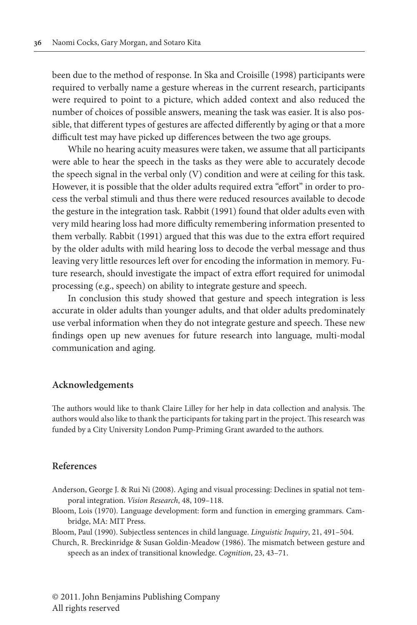been due to the method of response. In Ska and Croisille (1998) participants were required to verbally name a gesture whereas in the current research, participants were required to point to a picture, which added context and also reduced the number of choices of possible answers, meaning the task was easier. It is also possible, that different types of gestures are affected differently by aging or that a more difficult test may have picked up differences between the two age groups.

While no hearing acuity measures were taken, we assume that all participants were able to hear the speech in the tasks as they were able to accurately decode the speech signal in the verbal only (V) condition and were at ceiling for this task. However, it is possible that the older adults required extra "effort" in order to process the verbal stimuli and thus there were reduced resources available to decode the gesture in the integration task. Rabbit (1991) found that older adults even with very mild hearing loss had more difficulty remembering information presented to them verbally. Rabbit (1991) argued that this was due to the extra effort required by the older adults with mild hearing loss to decode the verbal message and thus leaving very little resources left over for encoding the information in memory. Future research, should investigate the impact of extra effort required for unimodal processing (e.g., speech) on ability to integrate gesture and speech.

In conclusion this study showed that gesture and speech integration is less accurate in older adults than younger adults, and that older adults predominately use verbal information when they do not integrate gesture and speech. These new findings open up new avenues for future research into language, multi-modal communication and aging.

#### **Acknowledgements**

The authors would like to thank Claire Lilley for her help in data collection and analysis. The authors would also like to thank the participants for taking part in the project. This research was funded by a City University London Pump-Priming Grant awarded to the authors.

#### **References**

- Anderson, George J. & Rui Ni (2008). Aging and visual processing: Declines in spatial not temporal integration. *Vision Research*, 48, 109–118.
- Bloom, Lois (1970). Language development: form and function in emerging grammars. Cambridge, MA: MIT Press.

Bloom, Paul (1990). Subjectless sentences in child language. *Linguistic Inquiry*, 21, 491–504.

Church, R. Breckinridge & Susan Goldin-Meadow (1986). The mismatch between gesture and speech as an index of transitional knowledge. *Cognition*, 23, 43–71.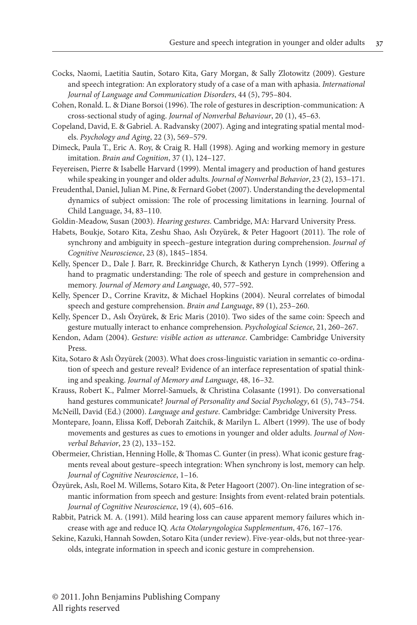- Cocks, Naomi, Laetitia Sautin, Sotaro Kita, Gary Morgan, & Sally Zlotowitz (2009). Gesture and speech integration: An exploratory study of a case of a man with aphasia. *International Journal of Language and Communication Disorders*, 44 (5), 795–804.
- Cohen, Ronald. L. & Diane Borsoi (1996). The role of gestures in description-communication: A cross-sectional study of aging. *Journal of Nonverbal Behaviour*, 20 (1), 45–63.
- Copeland, David, E. & Gabriel. A. Radvansky (2007). Aging and integrating spatial mental models. *Psychology and Aging*, 22 (3), 569–579.
- Dimeck, Paula T., Eric A. Roy, & Craig R. Hall (1998). Aging and working memory in gesture imitation. *Brain and Cognition*, 37 (1), 124–127.
- Feyereisen, Pierre & Isabelle Harvard (1999). Mental imagery and production of hand gestures while speaking in younger and older adults. *Journal of Nonverbal Behavior*, 23 (2), 153–171.
- Freudenthal, Daniel, Julian M. Pine, & Fernard Gobet (2007). Understanding the developmental dynamics of subject omission: The role of processing limitations in learning. Journal of Child Language, 34, 83–110.
- Goldin-Meadow, Susan (2003). *Hearing gestures*. Cambridge, MA: Harvard University Press.
- Habets, Boukje, Sotaro Kita, Zeshu Shao, Aslı Özyürek, & Peter Hagoort (2011). The role of synchrony and ambiguity in speech–gesture integration during comprehension. *Journal of Cognitive Neuroscience*, 23 (8), 1845–1854.
- Kelly, Spencer D., Dale J. Barr, R. Breckinridge Church, & Katheryn Lynch (1999). Offering a hand to pragmatic understanding: The role of speech and gesture in comprehension and memory. *Journal of Memory and Language*, 40, 577–592.
- Kelly, Spencer D., Corrine Kravitz, & Michael Hopkins (2004). Neural correlates of bimodal speech and gesture comprehension. *Brain and Language*, 89 (1), 253–260.
- Kelly, Spencer D., Aslı Özyürek, & Eric Maris (2010). Two sides of the same coin: Speech and gesture mutually interact to enhance comprehension. *Psychological Science*, 21, 260–267.
- Kendon, Adam (2004). *Gesture: visible action as utterance*. Cambridge: Cambridge University Press.
- Kita, Sotaro & Aslı Özyürek (2003). What does cross-linguistic variation in semantic co-ordination of speech and gesture reveal? Evidence of an interface representation of spatial thinking and speaking. *Journal of Memory and Language*, 48, 16–32.
- Krauss, Robert K., Palmer Morrel-Samuels, & Christina Colasante (1991). Do conversational hand gestures communicate? *Journal of Personality and Social Psychology*, 61 (5), 743–754.
- McNeill, David (Ed.) (2000). *Language and gesture*. Cambridge: Cambridge University Press.
- Montepare, Joann, Elissa Koff, Deborah Zaitchik, & Marilyn L. Albert (1999). The use of body movements and gestures as cues to emotions in younger and older adults. *Journal of Nonverbal Behavior*, 23 (2), 133–152.
- Obermeier, Christian, Henning Holle, & Thomas C. Gunter (in press). What iconic gesture fragments reveal about gesture–speech integration: When synchrony is lost, memory can help. *Journal of Cognitive Neuroscience*, 1–16.
- Özyürek, Aslı, Roel M. Willems, Sotaro Kita, & Peter Hagoort (2007). On-line integration of semantic information from speech and gesture: Insights from event-related brain potentials. *Journal of Cognitive Neuroscience*, 19 (4), 605–616.
- Rabbit, Patrick M. A. (1991). Mild hearing loss can cause apparent memory failures which increase with age and reduce IQ. *Acta Otolaryngologica Supplementum*, 476, 167–176.
- Sekine, Kazuki, Hannah Sowden, Sotaro Kita (under review). Five-year-olds, but not three-yearolds, integrate information in speech and iconic gesture in comprehension.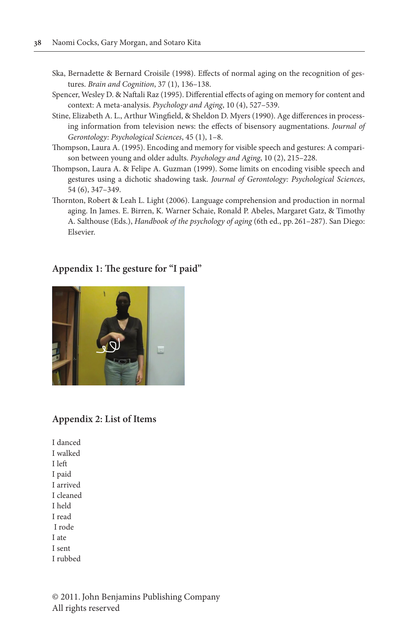- Ska, Bernadette & Bernard Croisile (1998). Effects of normal aging on the recognition of gestures. *Brain and Cognition*, 37 (1), 136–138.
- Spencer, Wesley D. & Naftali Raz (1995). Differential effects of aging on memory for content and context: A meta-analysis. *Psychology and Aging*, 10 (4), 527–539.
- Stine, Elizabeth A. L., Arthur Wingfield, & Sheldon D. Myers (1990). Age differences in processing information from television news: the effects of bisensory augmentations. *Journal of Gerontology: Psychological Sciences*, 45 (1), 1–8.
- Thompson, Laura A. (1995). Encoding and memory for visible speech and gestures: A comparison between young and older adults. *Psychology and Aging*, 10 (2), 215–228.
- Thompson, Laura A. & Felipe A. Guzman (1999). Some limits on encoding visible speech and gestures using a dichotic shadowing task. *Journal of Gerontology: Psychological Sciences*, 54 (6), 347–349.
- Thornton, Robert & Leah L. Light (2006). Language comprehension and production in normal aging. In James. E. Birren, K. Warner Schaie, Ronald P. Abeles, Margaret Gatz, & Timothy A. Salthouse (Eds.), *Handbook of the psychology of aging* (6th ed., pp. 261–287). San Diego: Elsevier.

#### **Appendix 1: The gesture for "I paid"**



#### **Appendix 2: List of Items**

I danced I walked I left I paid I arrived I cleaned I held I read I rode I ate I sent I rubbed

© 2011. John Benjamins Publishing Company All rights reserved